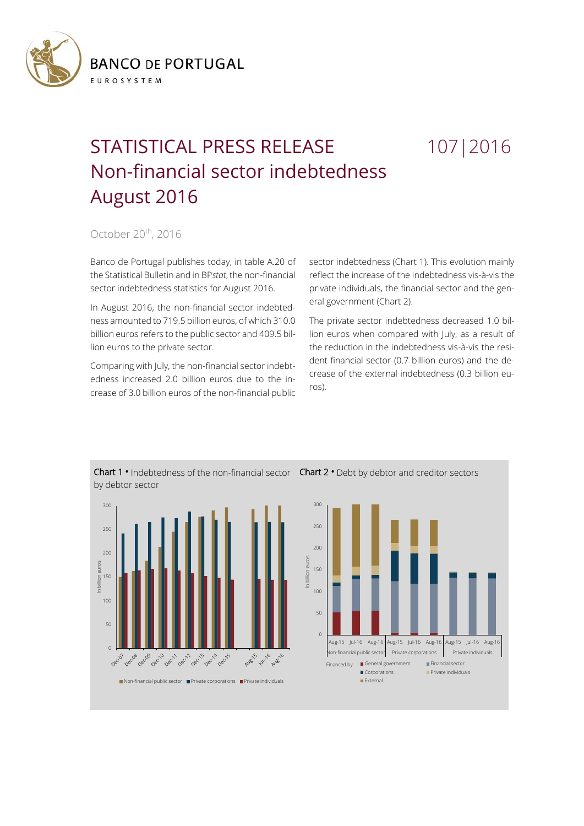

## STATISTICAL PRESS RELEASE 107 | 2016 Non-financial sector indebtedness August 2016

October 20<sup>th</sup>, 2016

Banco de Portugal publishes today, in table A.20 of the Statistical Bulletin and in BP*stat*, the non-financial sector indebtedness statistics for August 2016.

In August 2016, the non-financial sector indebtedness amounted to 719.5 billion euros, of which 310.0 billion euros refers to the public sector and 409.5 billion euros to the private sector.

Comparing with July, the non-financial sector indebtedness increased 2.0 billion euros due to the increase of 3.0 billion euros of the non-financial public sector indebtedness (Chart 1). This evolution mainly reflect the increase of the indebtedness vis-à-vis the private individuals, the financial sector and the general government (Chart 2).

The private sector indebtedness decreased 1.0 billion euros when compared with July, as a result of the reduction in the indebtedness vis-à-vis the resident financial sector (0.7 billion euros) and the decrease of the external indebtedness (0.3 billion euros).



Chart 1 **•** Indebtedness of the non-financial sector Chart 2 **•** Debt by debtor and creditor sectors